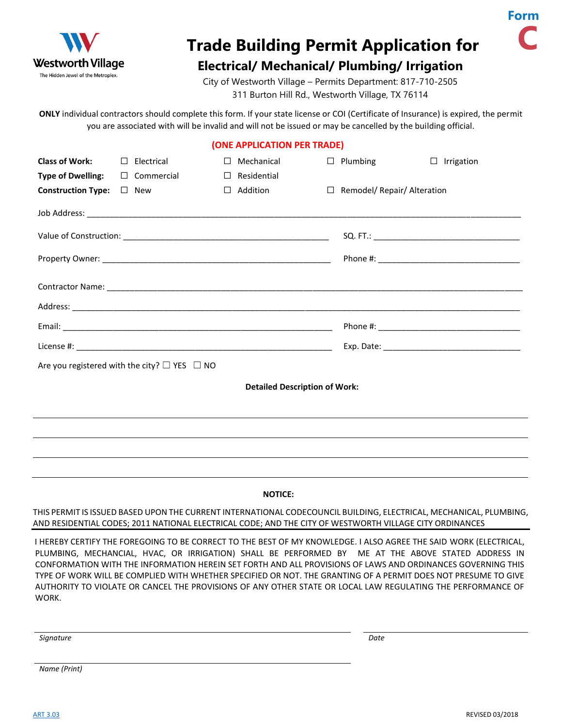

## **Trade Building Permit Application for**

## **Electrical/ Mechanical/ Plumbing/ Irrigation**

City of Westworth Village – Permits Department: 817-710-2505 311 Burton Hill Rd., Westworth Village, TX 76114

**ONLY** individual contractors should complete this form. If your state license or COI (Certificate of Insurance) is expired, the permit you are associated with will be invalid and will not be issued or may be cancelled by the building official.

|  |  |  | (ONE APPLICATION PER TRADE) |  |
|--|--|--|-----------------------------|--|
|  |  |  |                             |  |

| <b>Class of Work:</b>     |                                      | $\Box$ Electrical                                      | $\perp$ | Mechanical  | ⊔      | Plumbing                    | $\Box$<br>Irrigation |
|---------------------------|--------------------------------------|--------------------------------------------------------|---------|-------------|--------|-----------------------------|----------------------|
| <b>Type of Dwelling:</b>  |                                      | $\Box$ Commercial                                      | $\Box$  | Residential |        |                             |                      |
| <b>Construction Type:</b> |                                      | $\square$ New                                          | $\Box$  | Addition    | $\Box$ | Remodel/ Repair/ Alteration |                      |
|                           |                                      |                                                        |         |             |        |                             |                      |
|                           |                                      |                                                        |         |             |        |                             |                      |
|                           |                                      |                                                        |         |             |        |                             |                      |
|                           |                                      |                                                        |         |             |        |                             |                      |
|                           |                                      |                                                        |         |             |        |                             |                      |
|                           |                                      |                                                        |         |             |        |                             |                      |
|                           |                                      |                                                        |         |             |        |                             |                      |
|                           |                                      | Are you registered with the city? $\Box$ YES $\Box$ NO |         |             |        |                             |                      |
|                           | <b>Detailed Description of Work:</b> |                                                        |         |             |        |                             |                      |
|                           |                                      |                                                        |         |             |        |                             |                      |
|                           |                                      |                                                        |         |             |        |                             |                      |

## **NOTICE:**

THIS PERMIT IS ISSUED BASED UPON THE CURRENT INTERNATIONAL CODECOUNCIL BUILDING, ELECTRICAL, MECHANICAL, PLUMBING, AND RESIDENTIAL CODES; 2011 NATIONAL ELECTRICAL CODE; AND THE CITY OF WESTWORTH VILLAGE CITY ORDINANCES

I HEREBY CERTIFY THE FOREGOING TO BE CORRECT TO THE BEST OF MY KNOWLEDGE. I ALSO AGREE THE SAID WORK (ELECTRICAL, PLUMBING, MECHANCIAL, HVAC, OR IRRIGATION) SHALL BE PERFORMED BY ME AT THE ABOVE STATED ADDRESS IN CONFORMATION WITH THE INFORMATION HEREIN SET FORTH AND ALL PROVISIONS OF LAWS AND ORDINANCES GOVERNING THIS TYPE OF WORK WILL BE COMPLIED WITH WHETHER SPECIFIED OR NOT. THE GRANTING OF A PERMIT DOES NOT PRESUME TO GIVE AUTHORITY TO VIOLATE OR CANCEL THE PROVISIONS OF ANY OTHER STATE OR LOCAL LAW REGULATING THE PERFORMANCE OF WORK.

*Signature Date*

*Name (Print)*

**Form**

**C**